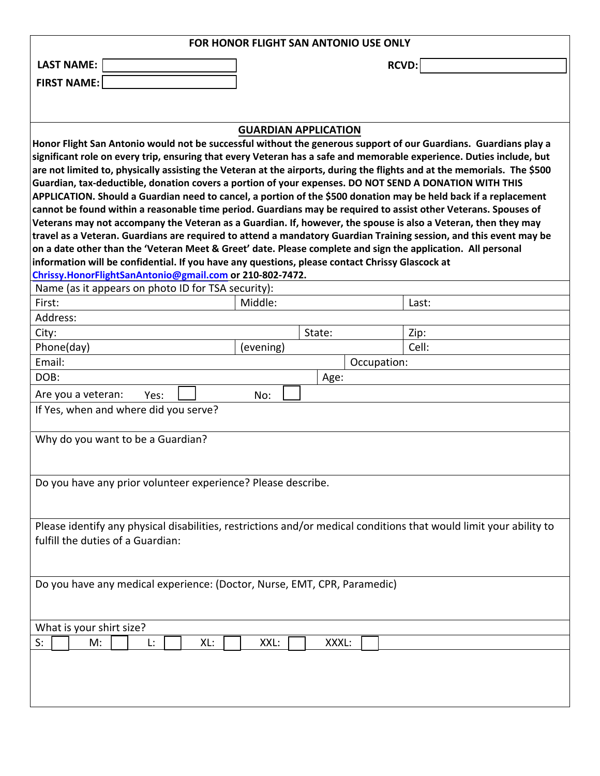| FOR HONOR FLIGHT SAN ANTONIO USE ONLY                                                                                                                                                                                      |                             |       |             |       |  |  |
|----------------------------------------------------------------------------------------------------------------------------------------------------------------------------------------------------------------------------|-----------------------------|-------|-------------|-------|--|--|
| <b>LAST NAME:</b>                                                                                                                                                                                                          | <b>RCVD:</b>                |       |             |       |  |  |
| <b>FIRST NAME:</b>                                                                                                                                                                                                         |                             |       |             |       |  |  |
|                                                                                                                                                                                                                            |                             |       |             |       |  |  |
|                                                                                                                                                                                                                            |                             |       |             |       |  |  |
|                                                                                                                                                                                                                            | <b>GUARDIAN APPLICATION</b> |       |             |       |  |  |
| Honor Flight San Antonio would not be successful without the generous support of our Guardians. Guardians play a                                                                                                           |                             |       |             |       |  |  |
| significant role on every trip, ensuring that every Veteran has a safe and memorable experience. Duties include, but                                                                                                       |                             |       |             |       |  |  |
| are not limited to, physically assisting the Veteran at the airports, during the flights and at the memorials. The \$500                                                                                                   |                             |       |             |       |  |  |
| Guardian, tax-deductible, donation covers a portion of your expenses. DO NOT SEND A DONATION WITH THIS<br>APPLICATION. Should a Guardian need to cancel, a portion of the \$500 donation may be held back if a replacement |                             |       |             |       |  |  |
| cannot be found within a reasonable time period. Guardians may be required to assist other Veterans. Spouses of                                                                                                            |                             |       |             |       |  |  |
| Veterans may not accompany the Veteran as a Guardian. If, however, the spouse is also a Veteran, then they may                                                                                                             |                             |       |             |       |  |  |
| travel as a Veteran. Guardians are required to attend a mandatory Guardian Training session, and this event may be                                                                                                         |                             |       |             |       |  |  |
| on a date other than the 'Veteran Meet & Greet' date. Please complete and sign the application. All personal                                                                                                               |                             |       |             |       |  |  |
| information will be confidential. If you have any questions, please contact Chrissy Glascock at                                                                                                                            |                             |       |             |       |  |  |
| Chrissy.HonorFlightSanAntonio@gmail.com or 210-802-7472.<br>Name (as it appears on photo ID for TSA security):                                                                                                             |                             |       |             |       |  |  |
| First:                                                                                                                                                                                                                     | Middle:                     |       |             | Last: |  |  |
| Address:                                                                                                                                                                                                                   |                             |       |             |       |  |  |
| City:                                                                                                                                                                                                                      | State:                      |       |             | Zip:  |  |  |
| Phone(day)                                                                                                                                                                                                                 | (evening)                   |       |             | Cell: |  |  |
| Email:                                                                                                                                                                                                                     |                             |       | Occupation: |       |  |  |
| DOB:                                                                                                                                                                                                                       |                             | Age:  |             |       |  |  |
| Are you a veteran:<br>Yes:                                                                                                                                                                                                 | No:                         |       |             |       |  |  |
| If Yes, when and where did you serve?                                                                                                                                                                                      |                             |       |             |       |  |  |
|                                                                                                                                                                                                                            |                             |       |             |       |  |  |
| Why do you want to be a Guardian?                                                                                                                                                                                          |                             |       |             |       |  |  |
|                                                                                                                                                                                                                            |                             |       |             |       |  |  |
|                                                                                                                                                                                                                            |                             |       |             |       |  |  |
| Do you have any prior volunteer experience? Please describe.                                                                                                                                                               |                             |       |             |       |  |  |
|                                                                                                                                                                                                                            |                             |       |             |       |  |  |
|                                                                                                                                                                                                                            |                             |       |             |       |  |  |
| Please identify any physical disabilities, restrictions and/or medical conditions that would limit your ability to                                                                                                         |                             |       |             |       |  |  |
| fulfill the duties of a Guardian:                                                                                                                                                                                          |                             |       |             |       |  |  |
|                                                                                                                                                                                                                            |                             |       |             |       |  |  |
|                                                                                                                                                                                                                            |                             |       |             |       |  |  |
| Do you have any medical experience: (Doctor, Nurse, EMT, CPR, Paramedic)                                                                                                                                                   |                             |       |             |       |  |  |
|                                                                                                                                                                                                                            |                             |       |             |       |  |  |
| What is your shirt size?                                                                                                                                                                                                   |                             |       |             |       |  |  |
| M:<br>S:<br>Ŀ.<br>XL:                                                                                                                                                                                                      | XXL:                        | XXXL: |             |       |  |  |
|                                                                                                                                                                                                                            |                             |       |             |       |  |  |
|                                                                                                                                                                                                                            |                             |       |             |       |  |  |
|                                                                                                                                                                                                                            |                             |       |             |       |  |  |
|                                                                                                                                                                                                                            |                             |       |             |       |  |  |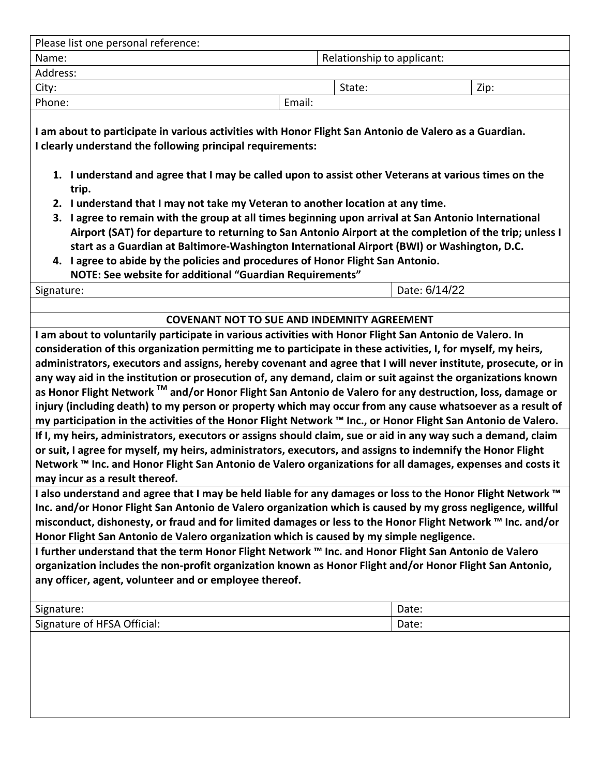| Please list one personal reference: |  |        |                            |      |  |
|-------------------------------------|--|--------|----------------------------|------|--|
| Name:                               |  |        | Relationship to applicant: |      |  |
| Address:                            |  |        |                            |      |  |
| City:                               |  |        | State:                     | Zip: |  |
| Phone:                              |  | Email: |                            |      |  |
|                                     |  |        |                            |      |  |

**I am about to participate in various activities with Honor Flight San Antonio de Valero as a Guardian. I clearly understand the following principal requirements:**

- 1. I understand and agree that I may be called upon to assist other Veterans at various times on the **trip.**
- **2. I understand that I may not take my Veteran to another location at any time.**
- 3. I agree to remain with the group at all times beginning upon arrival at San Antonio International Airport (SAT) for departure to returning to San Antonio Airport at the completion of the trip; unless I **start as a Guardian at Baltimore‐Washington International Airport (BWI) or Washington, D.C.**
- **4. I agree to abide by the policies and procedures of Honor Flight San Antonio. NOTE: See website for additional "Guardian Requirements"**

Signature:

6/14/22

## **COVENANT NOT TO SUE AND INDEMNITY AGREEMENT**

**I am about to voluntarily participate in various activities with Honor Flight San Antonio de Valero. In consideration of this organization permitting me to participate in these activities, I, for myself, my heirs, administrators, executors and assigns, hereby covenant and agree that I will never institute, prosecute, or in** any way aid in the institution or prosecution of, any demand, claim or suit against the organizations known as Honor Flight Network ™ and/or Honor Flight San Antonio de Valero for any destruction, loss, damage or injury (including death) to my person or property which may occur from any cause whatsoever as a result of my participation in the activities of the Honor Flight Network ™ Inc., or Honor Flight San Antonio de Valero. If I, my heirs, administrators, executors or assigns should claim, sue or aid in any way such a demand, claim or suit, I agree for myself, my heirs, administrators, executors, and assigns to indemnify the Honor Flight Network ™ Inc. and Honor Flight San Antonio de Valero organizations for all damages, expenses and costs it **may incur as a result thereof.** 

I also understand and agree that I may be held liable for any damages or loss to the Honor Flight Network ™ Inc. and/or Honor Flight San Antonio de Valero organization which is caused by my gross negligence, willful misconduct, dishonesty, or fraud and for limited damages or less to the Honor Flight Network ™ Inc. and/or **Honor Flight San Antonio de Valero organization which is caused by my simple negligence.** 

I further understand that the term Honor Flight Network ™ Inc. and Honor Flight San Antonio de Valero **organization includes the non‐profit organization known as Honor Flight and/or Honor Flight San Antonio, any officer, agent, volunteer and or employee thereof.** 

| Signature:                     | Date: |
|--------------------------------|-------|
| HFSA Official:<br>Signature of | Date: |